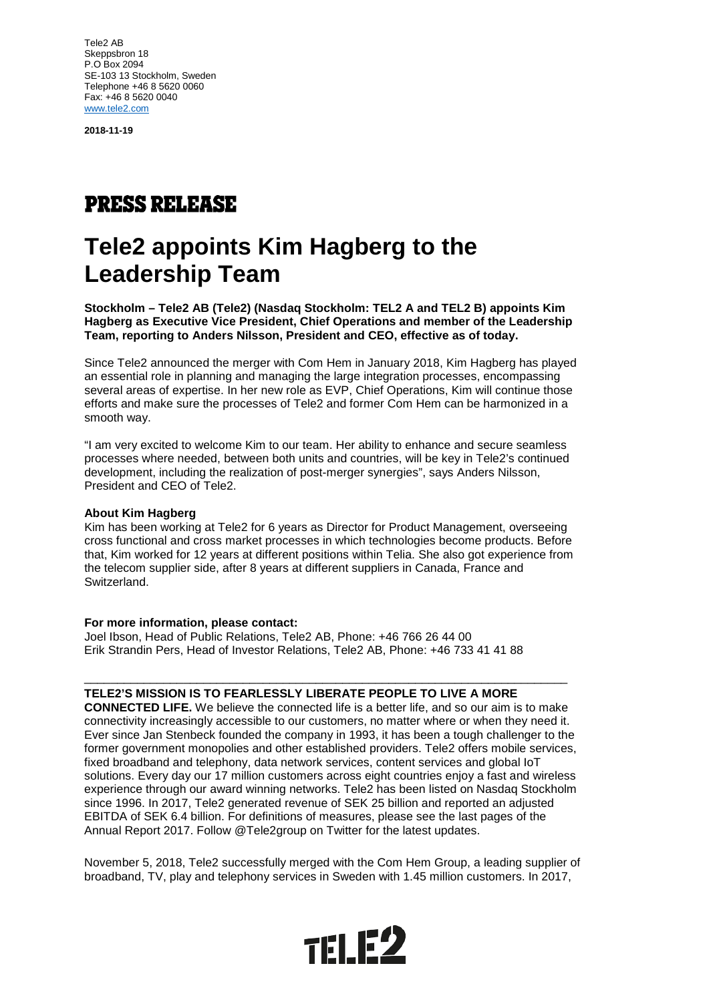Tele2 AB Skeppsbron 18 P.O Box 2094 SE-103 13 Stockholm, Sweden Telephone +46 8 5620 0060 Fax: +46 8 5620 0040 [www.tele2.com](http://www.tele2.com/)

**2018-11-19**

## **PRESS RELEASE**

# **Tele2 appoints Kim Hagberg to the Leadership Team**

**Stockholm – Tele2 AB (Tele2) (Nasdaq Stockholm: TEL2 A and TEL2 B) appoints Kim Hagberg as Executive Vice President, Chief Operations and member of the Leadership Team, reporting to Anders Nilsson, President and CEO, effective as of today.** 

Since Tele2 announced the merger with Com Hem in January 2018, Kim Hagberg has played an essential role in planning and managing the large integration processes, encompassing several areas of expertise. In her new role as EVP, Chief Operations, Kim will continue those efforts and make sure the processes of Tele2 and former Com Hem can be harmonized in a smooth way.

"I am very excited to welcome Kim to our team. Her ability to enhance and secure seamless processes where needed, between both units and countries, will be key in Tele2's continued development, including the realization of post-merger synergies", says Anders Nilsson, President and CEO of Tele2.

#### **About Kim Hagberg**

Kim has been working at Tele2 for 6 years as Director for Product Management, overseeing cross functional and cross market processes in which technologies become products. Before that, Kim worked for 12 years at different positions within Telia. She also got experience from the telecom supplier side, after 8 years at different suppliers in Canada, France and Switzerland.

#### **For more information, please contact:**

Joel Ibson, Head of Public Relations, Tele2 AB, Phone: +46 766 26 44 00 Erik Strandin Pers, Head of Investor Relations, Tele2 AB, Phone: +46 733 41 41 88

### **TELE2'S MISSION IS TO FEARLESSLY LIBERATE PEOPLE TO LIVE A MORE**

**CONNECTED LIFE.** We believe the connected life is a better life, and so our aim is to make connectivity increasingly accessible to our customers, no matter where or when they need it. Ever since Jan Stenbeck founded the company in 1993, it has been a tough challenger to the former government monopolies and other established providers. Tele2 offers mobile services, fixed broadband and telephony, data network services, content services and global IoT solutions. Every day our 17 million customers across eight countries enjoy a fast and wireless experience through our award winning networks. Tele2 has been listed on Nasdaq Stockholm since 1996. In 2017, Tele2 generated revenue of SEK 25 billion and reported an adjusted EBITDA of SEK 6.4 billion. For definitions of measures, please see the last pages of the Annual Report 2017. Follow @Tele2group on Twitter for the latest updates.

\_\_\_\_\_\_\_\_\_\_\_\_\_\_\_\_\_\_\_\_\_\_\_\_\_\_\_\_\_\_\_\_\_\_\_\_\_\_\_\_\_\_\_\_\_\_\_\_\_\_\_\_\_\_\_\_\_\_\_\_\_\_\_\_\_\_\_\_\_\_\_\_\_

November 5, 2018, Tele2 successfully merged with the Com Hem Group, a leading supplier of broadband, TV, play and telephony services in Sweden with 1.45 million customers. In 2017,